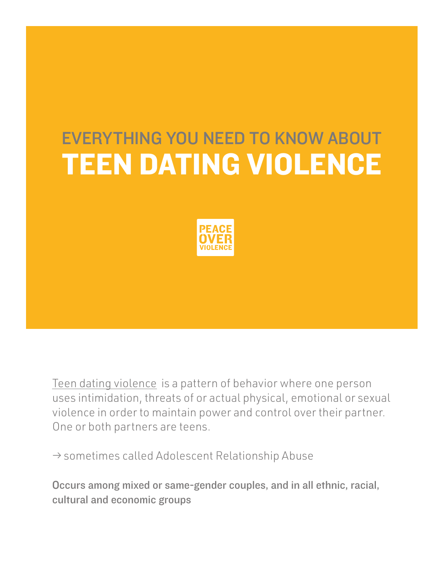#### EVERYTHING YOU NEED TO KNOW ABOUT TEEN DATING VIOLENCE



Teen dating violence is a pattern of behavior where one person uses intimidation, threats of or actual physical, emotional or sexual violence in order to maintain power and control over their partner. One or both partners are teens.

 $\rightarrow$  sometimes called Adolescent Relationship Abuse

Occurs among mixed or same-gender couples, and in all ethnic, racial, cultural and economic groups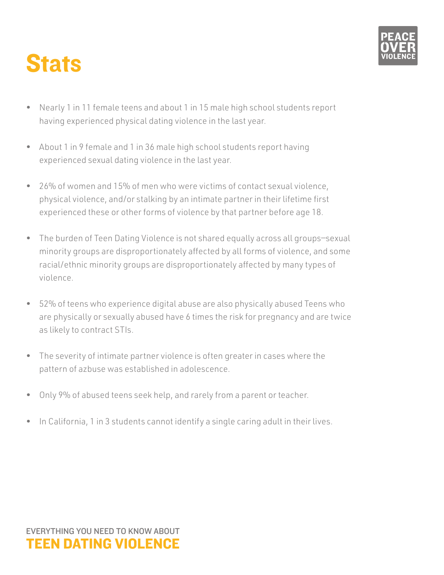



- Nearly 1 in 11 female teens and about 1 in 15 male high school students report having experienced physical dating violence in the last year.
- About 1 in 9 female and 1 in 36 male high school students report having experienced sexual dating violence in the last year.
- 26% of women and 15% of men who were victims of contact sexual violence, physical violence, and/or stalking by an intimate partner in their lifetime first experienced these or other forms of violence by that partner before age 18.
- The burden of Teen Dating Violence is not shared equally across all groups—sexual minority groups are disproportionately affected by all forms of violence, and some racial/ethnic minority groups are disproportionately affected by many types of violence.
- 52% of teens who experience digital abuse are also physically abused Teens who are physically or sexually abused have 6 times the risk for pregnancy and are twice as likely to contract STIs.
- The severity of intimate partner violence is often greater in cases where the pattern of azbuse was established in adolescence.
- Only 9% of abused teens seek help, and rarely from a parent or teacher.
- In California, 1 in 3 students cannot identify a single caring adult in their lives.

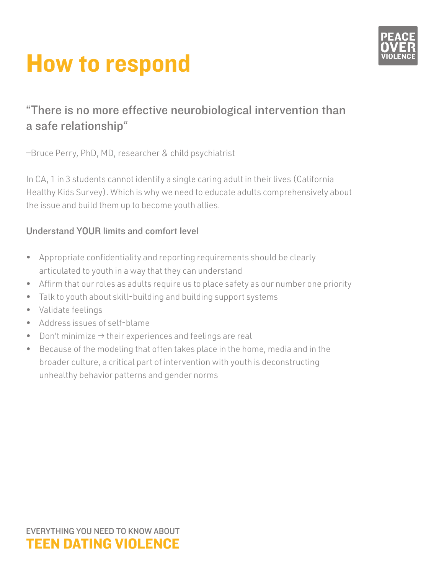

### How to respond

#### "There is no more effective neurobiological intervention than a safe relationship"

—Bruce Perry, PhD, MD, researcher & child psychiatrist

In CA, 1 in 3 students cannot identify a single caring adult in their lives (California Healthy Kids Survey). Which is why we need to educate adults comprehensively about the issue and build them up to become youth allies.

#### Understand YOUR limits and comfort level

- Appropriate confidentiality and reporting requirements should be clearly articulated to youth in a way that they can understand
- Affirm that our roles as adults require us to place safety as our number one priority
- Talk to youth about skill-building and building support systems
- Validate feelings
- Address issues of self-blame
- Don't minimize → their experiences and feelings are real
- Because of the modeling that often takes place in the home, media and in the broader culture, a critical part of intervention with youth is deconstructing unhealthy behavior patterns and gender norms

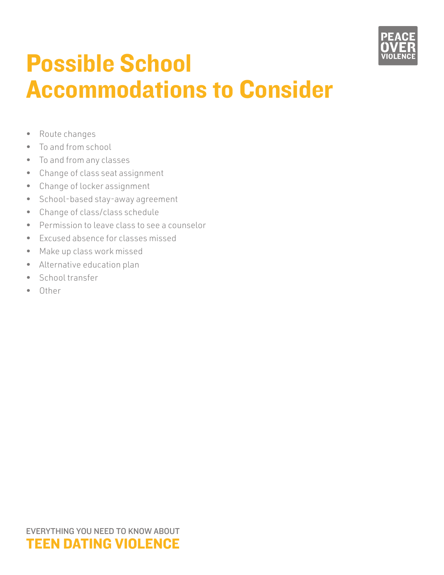

#### Possible School Accommodations to Consider

- Route changes
- To and from school
- To and from any classes
- Change of class seat assignment
- Change of locker assignment
- School-based stay-away agreement
- Change of class/class schedule
- Permission to leave class to see a counselor
- Excused absence for classes missed
- Make up class work missed
- Alternative education plan
- School transfer
- Other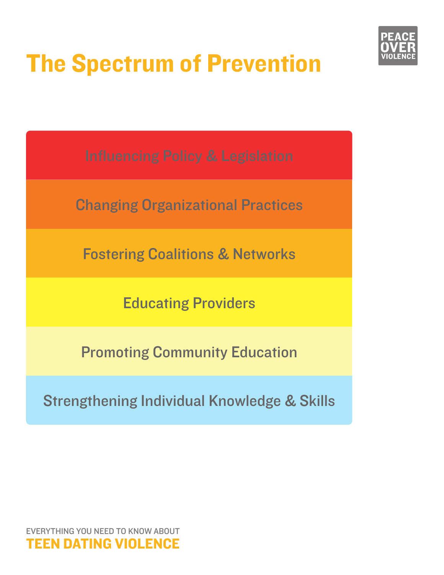

# The Spectrum of Prevention

Changing Organizational Practices

Fostering Coalitions & Networks

Educating Providers

Promoting Community Education

Strengthening Individual Knowledge & Skills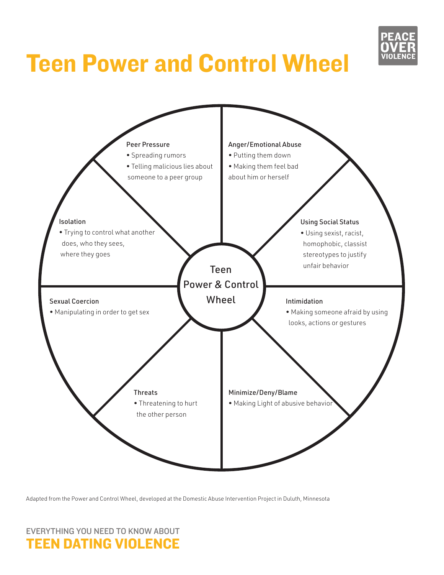

## Teen Power and Control Wheel



Adapted from the Power and Control Wheel, developed at the Domestic Abuse Intervention Project in Duluth, Minnesota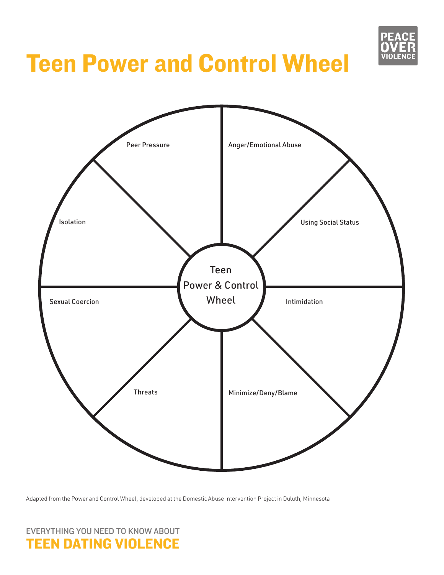

### Teen Power and Control Wheel



Adapted from the Power and Control Wheel, developed at the Domestic Abuse Intervention Project in Duluth, Minnesota

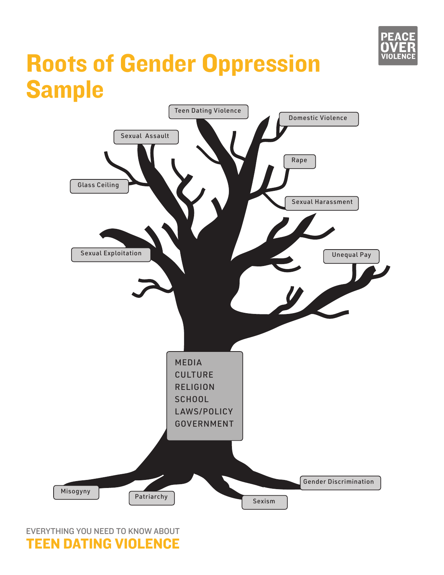

#### Roots of Gender Oppression Sample